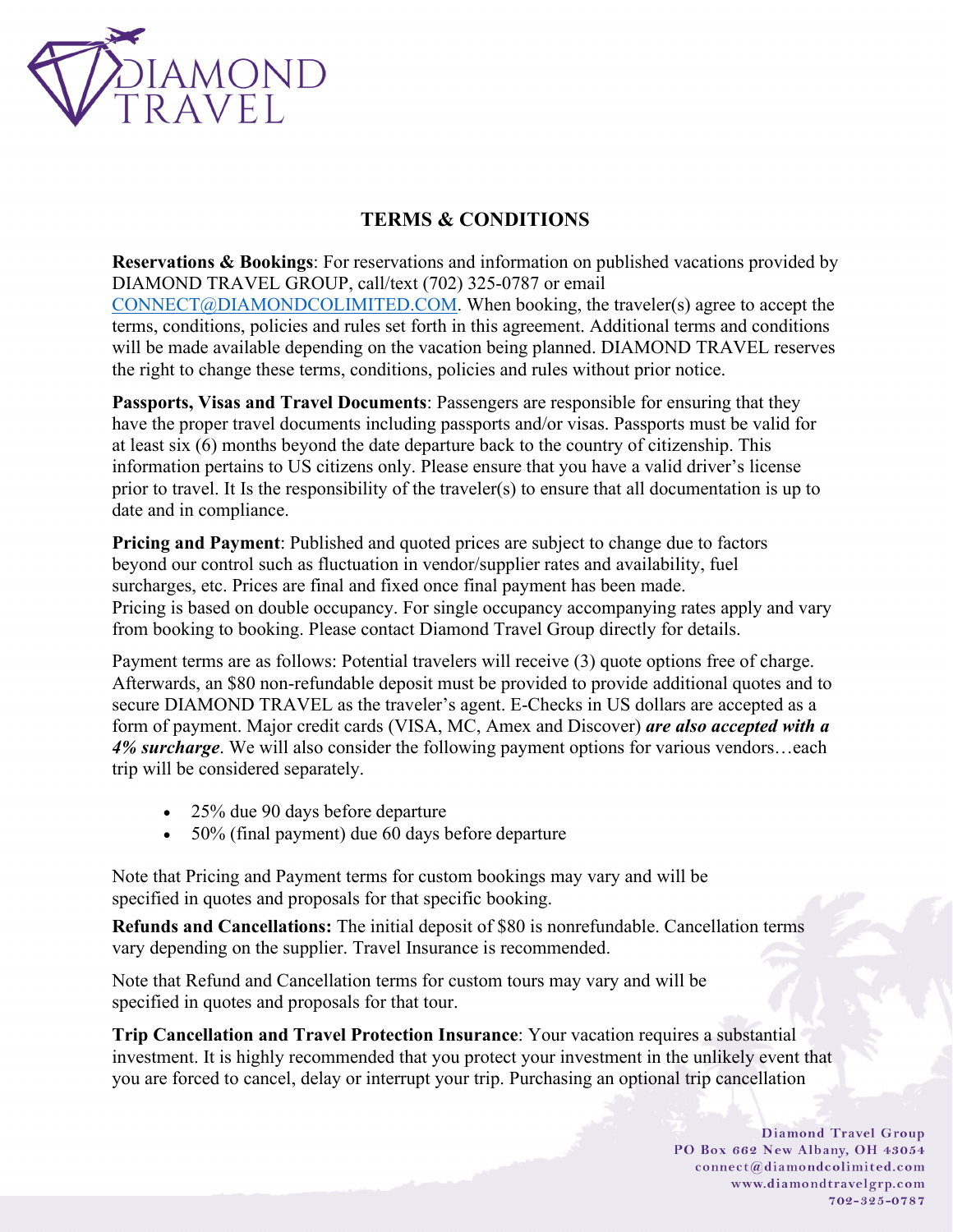

## **TERMS & CONDITIONS**

**Reservations & Bookings**: For reservations and information on published vacations provided by DIAMOND TRAVEL GROUP, call/text (702) 325-0787 or email [CONNECT@DIAMONDCOLIMITED.COM.](mailto:CONNECT@DIAMONDCOLIMITED.COM) When booking, the traveler(s) agree to accept the terms, conditions, policies and rules set forth in this agreement. Additional terms and conditions will be made available depending on the vacation being planned. DIAMOND TRAVEL reserves the right to change these terms, conditions, policies and rules without prior notice.

**Passports, Visas and Travel Documents**: Passengers are responsible for ensuring that they have the proper travel documents including passports and/or visas. Passports must be valid for at least six (6) months beyond the date departure back to the country of citizenship. This information pertains to US citizens only. Please ensure that you have a valid driver's license prior to travel. It Is the responsibility of the traveler(s) to ensure that all documentation is up to date and in compliance.

**Pricing and Payment**: Published and quoted prices are subject to change due to factors beyond our control such as fluctuation in vendor/supplier rates and availability, fuel surcharges, etc. Prices are final and fixed once final payment has been made. Pricing is based on double occupancy. For single occupancy accompanying rates apply and vary from booking to booking. Please contact Diamond Travel Group directly for details.

Payment terms are as follows: Potential travelers will receive (3) quote options free of charge. Afterwards, an \$80 non-refundable deposit must be provided to provide additional quotes and to secure DIAMOND TRAVEL as the traveler's agent. E-Checks in US dollars are accepted as a form of payment. Major credit cards (VISA, MC, Amex and Discover) *are also accepted with a 4% surcharge*. We will also consider the following payment options for various vendors…each trip will be considered separately.

- 25% due 90 days before departure
- 50% (final payment) due 60 days before departure

Note that Pricing and Payment terms for custom bookings may vary and will be specified in quotes and proposals for that specific booking.

**Refunds and Cancellations:** The initial deposit of \$80 is nonrefundable. Cancellation terms vary depending on the supplier. Travel Insurance is recommended.

Note that Refund and Cancellation terms for custom tours may vary and will be specified in quotes and proposals for that tour.

**Trip Cancellation and Travel Protection Insurance**: Your vacation requires a substantial investment. It is highly recommended that you protect your investment in the unlikely event that you are forced to cancel, delay or interrupt your trip. Purchasing an optional trip cancellation

> **Diamond Travel Group** PO Box 662 New Albany, OH 43054 connect@diamondcolimited.com www.diamondtravelgrp.com 702-325-0787